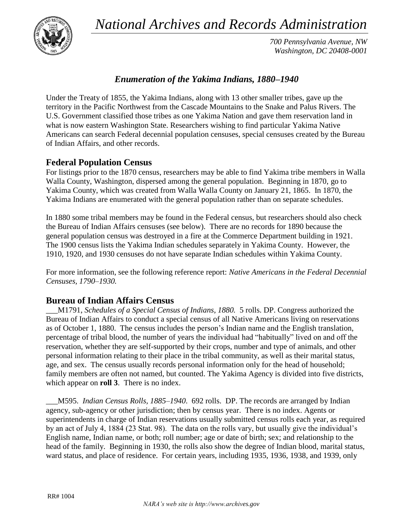*National Archives and Records Administration*



*700 Pennsylvania Avenue, NW Washington, DC 20408-0001*

## *Enumeration of the Yakima Indians, 1880–1940*

Under the Treaty of 1855, the Yakima Indians, along with 13 other smaller tribes, gave up the territory in the Pacific Northwest from the Cascade Mountains to the Snake and Palus Rivers. The U.S. Government classified those tribes as one Yakima Nation and gave them reservation land in what is now eastern Washington State. Researchers wishing to find particular Yakima Native Americans can search Federal decennial population censuses, special censuses created by the Bureau of Indian Affairs, and other records.

## **Federal Population Census**

For listings prior to the 1870 census, researchers may be able to find Yakima tribe members in Walla Walla County, Washington, dispersed among the general population. Beginning in 1870, go to Yakima County, which was created from Walla Walla County on January 21, 1865. In 1870, the Yakima Indians are enumerated with the general population rather than on separate schedules.

In 1880 some tribal members may be found in the Federal census, but researchers should also check the Bureau of Indian Affairs censuses (see below). There are no records for 1890 because the general population census was destroyed in a fire at the Commerce Department building in 1921. The 1900 census lists the Yakima Indian schedules separately in Yakima County. However, the 1910, 1920, and 1930 censuses do not have separate Indian schedules within Yakima County.

For more information, see the following reference report: *Native Americans in the Federal Decennial Censuses, 1790–1930.*

## **Bureau of Indian Affairs Census**

\_\_\_M1791, *Schedules of a Special Census of Indians, 1880.* 5 rolls. DP. Congress authorized the Bureau of Indian Affairs to conduct a special census of all Native Americans living on reservations as of October 1, 1880. The census includes the person's Indian name and the English translation, percentage of tribal blood, the number of years the individual had "habitually" lived on and off the reservation, whether they are self-supported by their crops, number and type of animals, and other personal information relating to their place in the tribal community, as well as their marital status, age, and sex. The census usually records personal information only for the head of household; family members are often not named, but counted. The Yakima Agency is divided into five districts, which appear on **roll 3**. There is no index.

\_\_\_M595. *Indian Census Rolls, 1885–1940*. 692 rolls. DP. The records are arranged by Indian agency, sub-agency or other jurisdiction; then by census year. There is no index. Agents or superintendents in charge of Indian reservations usually submitted census rolls each year, as required by an act of July 4, 1884 (23 Stat. 98). The data on the rolls vary, but usually give the individual's English name, Indian name, or both; roll number; age or date of birth; sex; and relationship to the head of the family. Beginning in 1930, the rolls also show the degree of Indian blood, marital status, ward status, and place of residence. For certain years, including 1935, 1936, 1938, and 1939, only